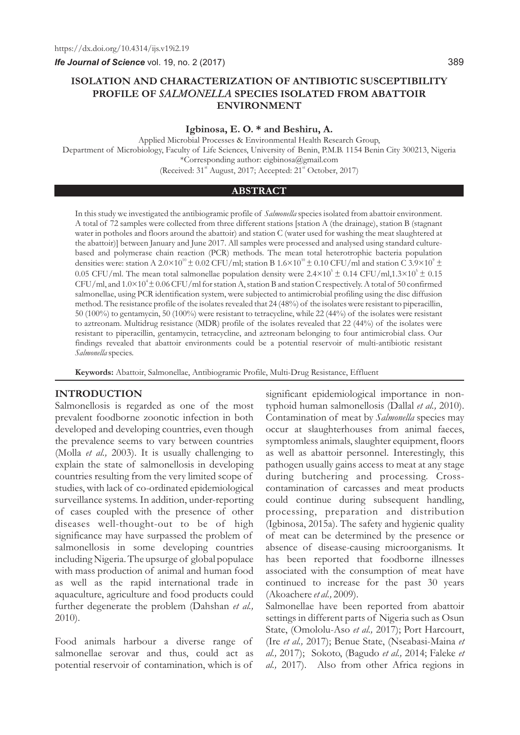# **ISOLATION AND CHARACTERIZATION OF ANTIBIOTIC SUSCEPTIBILITY PROFILE OF** *SALMONELLA* **SPECIES ISOLATED FROM ABATTOIR ENVIRONMENT**

### **Igbinosa, E. O. \* and Beshiru, A.**

Applied Microbial Processes & Environmental Health Research Group, Department of Microbiology, Faculty of Life Sciences, University of Benin, P.M.B. 1154 Benin City 300213, Nigeria \*Corresponding author: eigbinosa@gmail.com (Received:  $31^{st}$  August, 2017; Accepted:  $21^{st}$  October, 2017)

#### **ABSTRACT**

In this study we investigated the antibiogramic profile of *Salmonella* species isolated from abattoir environment. A total of 72 samples were collected from three different stations [station A (the drainage), station B (stagnant water in potholes and floors around the abattoir) and station C (water used for washing the meat slaughtered at the abattoir)] between January and June 2017. All samples were processed and analysed using standard culturebased and polymerase chain reaction (PCR) methods. The mean total heterotrophic bacteria population densities were: station A 2.0×10<sup>10</sup>  $\pm$  0.02 CFU/ml; station B 1.6×10<sup>10</sup>  $\pm$  0.10 CFU/ml and station C 3.9×10<sup>9</sup>  $\pm$ 0.05 CFU/ml. The mean total salmonellae population density were  $2.4 \times 10^5 \pm 0.14$  CFU/ml, $1.3 \times 10^5 \pm 0.15$  $CFU/ml$ , and  $1.0\times10^4 \pm 0.06$  CFU/ml for station A, station B and station C respectively. A total of 50 confirmed salmonellae, using PCR identification system, were subjected to antimicrobial profiling using the disc diffusion method. The resistance profile of the isolates revealed that 24 (48%) of the isolates were resistant to piperacillin, 50 (100%) to gentamycin, 50 (100%) were resistant to tetracycline, while 22 (44%) of the isolates were resistant to aztreonam. Multidrug resistance (MDR) profile of the isolates revealed that 22 (44%) of the isolates were resistant to piperacillin, gentamycin, tetracycline, and aztreonam belonging to four antimicrobial class. Our findings revealed that abattoir environments could be a potential reservoir of multi-antibiotic resistant *Salmonella* species.

**Keywords:** Abattoir, Salmonellae, Antibiogramic Profile, Multi-Drug Resistance, Effluent

#### **INTRODUCTION**

Salmonellosis is regarded as one of the most prevalent foodborne zoonotic infection in both developed and developing countries, even though the prevalence seems to vary between countries (Molla *et al.,* 2003). It is usually challenging to explain the state of salmonellosis in developing countries resulting from the very limited scope of studies, with lack of co-ordinated epidemiological surveillance systems. In addition, under-reporting of cases coupled with the presence of other diseases well-thought-out to be of high significance may have surpassed the problem of salmonellosis in some developing countries including Nigeria. The upsurge of global populace with mass production of animal and human food as well as the rapid international trade in aquaculture, agriculture and food products could further degenerate the problem (Dahshan *et al.,* 2010).

Food animals harbour a diverse range of salmonellae serovar and thus, could act as potential reservoir of contamination, which is of significant epidemiological importance in nontyphoid human salmonellosis (Dallal *et al.,* 2010). Contamination of meat by *Salmonella* species may occur at slaughterhouses from animal faeces, symptomless animals, slaughter equipment, floors as well as abattoir personnel. Interestingly, this pathogen usually gains access to meat at any stage during butchering and processing. Crosscontamination of carcasses and meat products could continue during subsequent handling, processing, preparation and distribution (Igbinosa, 2015a). The safety and hygienic quality of meat can be determined by the presence or absence of disease-causing microorganisms. It has been reported that foodborne illnesses associated with the consumption of meat have continued to increase for the past 30 years (Akoachere *et al.,* 2009).

Salmonellae have been reported from abattoir settings in different parts of Nigeria such as Osun State, (Omololu-Aso *et al.,* 2017); Port Harcourt, (Ire *et al.,* 2017); Benue State, (Nseabasi-Maina *et al.,* 2017); Sokoto, (Bagudo *et al.,* 2014; Faleke *et al.,* 2017). Also from other Africa regions in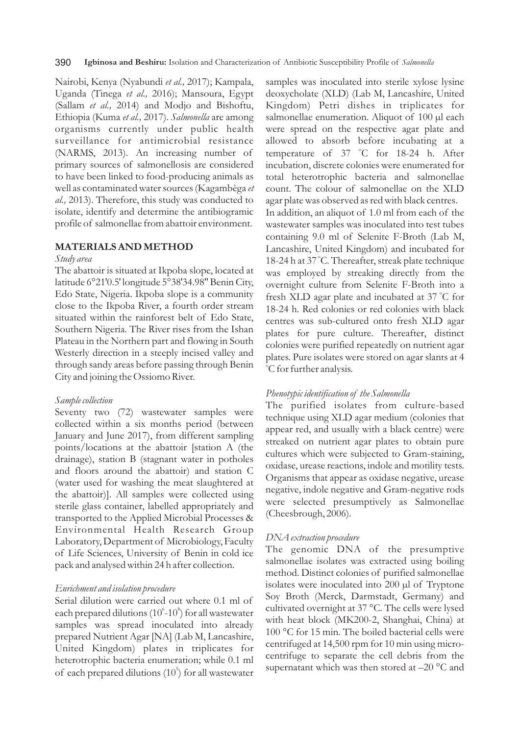Nairobi, Kenya (Nyabundi *et al.,* 2017); Kampala, Uganda (Tinega *et al.,* 2016); Mansoura, Egypt (Sallam *et al.,* 2014) and Modjo and Bishoftu, Ethiopia (Kuma *et al.,* 2017). *Salmonella* are among organisms currently under public health surveillance for antimicrobial resistance (NARMS, 2013). An increasing number of primary sources of salmonellosis are considered to have been linked to food-producing animals as well as contaminated water sources (Kagambèga *et al.,* 2013). Therefore, this study was conducted to isolate, identify and determine the antibiogramic profile of salmonellae from abattoir environment.

## **MATERIALS AND METHOD**

#### *Study area*

The abattoir is situated at Ikpoba slope, located at latitude 6°21′0.5′ longitude 5°38′34.98″ Benin City, Edo State, Nigeria. Ikpoba slope is a community close to the Ikpoba River, a fourth order stream situated within the rainforest belt of Edo State, Southern Nigeria. The River rises from the Ishan Plateau in the Northern part and flowing in South Westerly direction in a steeply incised valley and through sandy areas before passing through Benin City and joining the Ossiomo River.

## *Sample collection*

Seventy two (72) wastewater samples were collected within a six months period (between January and June 2017), from different sampling points/locations at the abattoir [station A (the drainage), station B (stagnant water in potholes and floors around the abattoir) and station C (water used for washing the meat slaughtered at the abattoir)]. All samples were collected using sterile glass container, labelled appropriately and transported to the Applied Microbial Processes & Environmental Health Research Group Laboratory, Department of Microbiology, Faculty of Life Sciences, University of Benin in cold ice pack and analysed within 24 h after collection.

## *Enrichment and isolation procedure*

Serial dilution were carried out where 0.1 ml of each prepared dilutions ( $10^{\circ}$ - $10^{\circ}$ ) for all wastewater samples was spread inoculated into already prepared Nutrient Agar [NA] (Lab M, Lancashire, United Kingdom) plates in triplicates for heterotrophic bacteria enumeration; while 0.1 ml of each prepared dilutions (10 $\degree$ ) for all wastewater samples was inoculated into sterile xylose lysine deoxycholate (XLD) (Lab M, Lancashire, United Kingdom) Petri dishes in triplicates for salmonellae enumeration. Aliquot of 100 µl each were spread on the respective agar plate and allowed to absorb before incubating at a temperature of 37 °C for 18-24 h. After incubation, discrete colonies were enumerated for total heterotrophic bacteria and salmonellae count. The colour of salmonellae on the XLD agar plate was observed as red with black centres. In addition, an aliquot of 1.0 ml from each of the wastewater samples was inoculated into test tubes containing 9.0 ml of Selenite F-Broth (Lab M, Lancashire, United Kingdom) and incubated for 18-24 h at 37°C. Thereafter, streak plate technique was employed by streaking directly from the overnight culture from Selenite F-Broth into a fresh XLD agar plate and incubated at 37 °C for 18-24 h. Red colonies or red colonies with black centres was sub-cultured onto fresh XLD agar plates for pure culture. Thereafter, distinct colonies were purified repeatedly on nutrient agar plates. Pure isolates were stored on agar slants at 4 °C for further analysis.

## *Phenotypic identification of the Salmonella*

The purified isolates from culture-based technique using XLD agar medium (colonies that appear red, and usually with a black centre) were streaked on nutrient agar plates to obtain pure cultures which were subjected to Gram-staining, oxidase, urease reactions, indole and motility tests. Organisms that appear as oxidase negative, urease negative, indole negative and Gram-negative rods were selected presumptively as Salmonellae (Cheesbrough, 2006)*.*

## *DNA extraction procedure*

The genomic DNA of the presumptive salmonellae isolates was extracted using boiling method. Distinct colonies of purified salmonellae isolates were inoculated into 200 µl of Tryptone Soy Broth (Merck, Darmstadt, Germany) and cultivated overnight at 37 °C. The cells were lysed with heat block (MK200-2, Shanghai, China) at 100 °C for 15 min. The boiled bacterial cells were centrifuged at 14,500 rpm for 10 min using microcentrifuge to separate the cell debris from the supernatant which was then stored at –20 °C and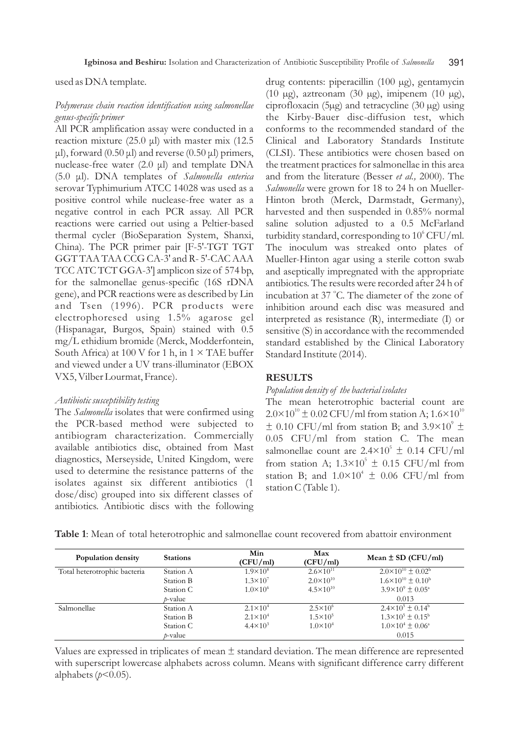used as DNA template.

# *Polymerase chain reaction identification using salmonellae genus-specific primer*

All PCR amplification assay were conducted in a reaction mixture  $(25.0 \text{ µl})$  with master mix  $(12.5 \text{ m})$ μl), forward  $(0.50 \mu l)$  and reverse  $(0.50 \mu l)$  primers, nuclease-free water (2.0 μl) and template DNA (5.0 μl). DNA templates of *Salmonella enterica*  serovar Typhimurium ATCC 14028 was used as a positive control while nuclease-free water as a negative control in each PCR assay. All PCR reactions were carried out using a Peltier-based thermal cycler (BioSeparation System, Shanxi, China). The PCR primer pair [F-5'-TGT TGT GGT TAA TAA CCG CA-3' and R- 5'-CAC AAA TCC ATC TCT GGA-3'] amplicon size of 574 bp, for the salmonellae genus-specific (16S rDNA gene), and PCR reactions were as described by Lin and Tsen (1996). PCR products were electrophoresed using 1.5% agarose gel (Hispanagar, Burgos, Spain) stained with 0.5 mg/L ethidium bromide (Merck, Modderfontein, South Africa) at 100 V for 1 h, in  $1 \times$  TAE buffer and viewed under a UV trans-illuminator (EBOX VX5, Vilber Lourmat, France).

#### *Antibiotic susceptibility testing*

The *Salmonella* isolates that were confirmed using the PCR-based method were subjected to antibiogram characterization. Commercially available antibiotics disc, obtained from Mast diagnostics, Merseyside, United Kingdom, were used to determine the resistance patterns of the isolates against six different antibiotics (1 dose/disc) grouped into six different classes of antibiotics. Antibiotic discs with the following drug contents: piperacillin (100 µg), gentamycin (10 µg), aztreonam (30 µg), imipenem (10 µg), ciprofloxacin (5µg) and tetracycline (30 µg) using the Kirby-Bauer disc-diffusion test, which conforms to the recommended standard of the Clinical and Laboratory Standards Institute (CLSI). These antibiotics were chosen based on the treatment practices for salmonellae in this area and from the literature (Besser *et al.,* 2000). The *Salmonella* were grown for 18 to 24 h on Mueller-Hinton broth (Merck, Darmstadt, Germany), harvested and then suspended in 0.85% normal saline solution adjusted to a 0.5 McFarland turbidity standard, corresponding to 10° CFU/ml. The inoculum was streaked onto plates of Mueller-Hinton agar using a sterile cotton swab and aseptically impregnated with the appropriate antibiotics. The results were recorded after 24 h of incubation at 37 °C. The diameter of the zone of inhibition around each disc was measured and interpreted as resistance (R), intermediate (I) or sensitive (S) in accordance with the recommended standard established by the Clinical Laboratory Standard Institute (2014).

## **RESULTS**

### *Population density of the bacterial isolates*

The mean heterotrophic bacterial count are  $2.0 \times 10^{10} \pm 0.02$  CFU/ml from station A;  $1.6 \times 10^{10}$  $\pm$  0.10 CFU/ml from station B; and 3.9×10<sup>°</sup>  $\pm$ 0.05 CFU/ml from station C. The mean salmonellae count are  $2.4 \times 10^5 \pm 0.14$  CFU/ml from station A;  $1.3 \times 10^5 \pm 0.15$  CFU/ml from station B; and  $1.0 \times 10^4 \pm 0.06$  CFU/ml from station C (Table 1).

| <b>Table 1:</b> Mean of total heterotrophic and salmonellae count recovered from abattoir environment |  |
|-------------------------------------------------------------------------------------------------------|--|
|-------------------------------------------------------------------------------------------------------|--|

| Population density           | <b>Stations</b> | Min<br>(CFU/ml)     | Max<br>(CFU/ml)      | Mean $\pm$ SD (CFU/ml)            |
|------------------------------|-----------------|---------------------|----------------------|-----------------------------------|
| Total heterotrophic bacteria | Station A       | $1.9 \times 10^8$   | $2.6 \times 10^{11}$ | $2.0 \times 10^{10} + 0.02^b$     |
|                              | Station B       | $1.3 \times 10^{7}$ | $2.0 \times 10^{10}$ | $1.6 \times 10^{10} \pm 0.10^{b}$ |
|                              | Station C       | $1.0 \times 10^{6}$ | $4.5 \times 10^{10}$ | $3.9\times10^{9} \pm 0.05^{4}$    |
|                              | <i>p</i> -value |                     |                      | 0.013                             |
| Salmonellae                  | Station A       | $2.1 \times 10^{4}$ | $2.5 \times 10^{6}$  | $2.4 \times 10^5 \pm 0.14^b$      |
|                              | Station B       | $2.1 \times 10^{4}$ | $1.5 \times 10^{5}$  | $1.3\times10^{5} \pm 0.15^{6}$    |
|                              | Station C       | $4.4 \times 10^{3}$ | $1.0 \times 10^{4}$  | $1.0\times10^4 \pm 0.06^4$        |
|                              | $p$ -value      |                     |                      | 0.015                             |

Values are expressed in triplicates of mean  $\pm$  standard deviation. The mean difference are represented with superscript lowercase alphabets across column. Means with significant difference carry different alphabets  $(p<0.05)$ .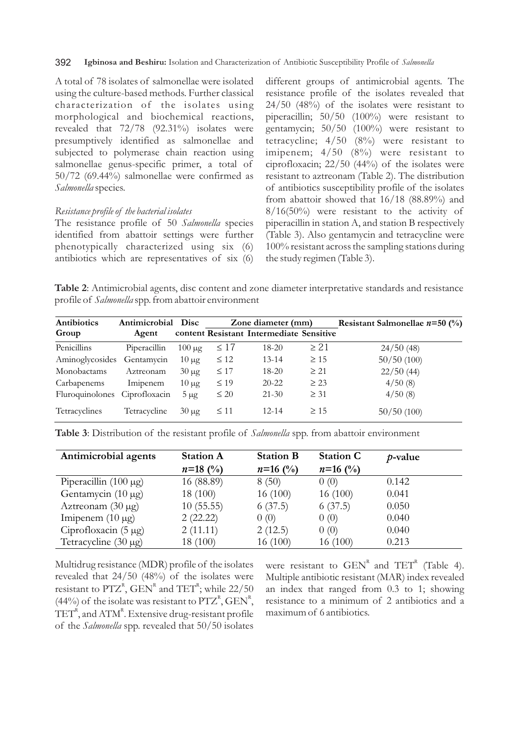#### 392 **Igbinosa and Beshiru:** Isolation and Characterization of Antibiotic Susceptibility Profile of *Salmonella*

A total of 78 isolates of salmonellae were isolated using the culture-based methods. Further classical characterization of the isolates using morphological and biochemical reactions, revealed that 72/78 (92.31%) isolates were presumptively identified as salmonellae and subjected to polymerase chain reaction using salmonellae genus-specific primer, a total of 50/72 (69.44%) salmonellae were confirmed as *Salmonella* species.

## *Resistance profile of the bacterial isolates*

The resistance profile of 50 *Salmonella* species identified from abattoir settings were further phenotypically characterized using six (6) antibiotics which are representatives of six (6) different groups of antimicrobial agents. The resistance profile of the isolates revealed that 24/50 (48%) of the isolates were resistant to piperacillin; 50/50 (100%) were resistant to gentamycin; 50/50 (100%) were resistant to tetracycline; 4/50 (8%) were resistant to imipenem;  $4/50$  (8%) were resistant to ciprofloxacin; 22/50 (44%) of the isolates were resistant to aztreonam (Table 2). The distribution of antibiotics susceptibility profile of the isolates from abattoir showed that 16/18 (88.89%) and 8/16(50%) were resistant to the activity of piperacillin in station A, and station B respectively (Table 3). Also gentamycin and tetracycline were 100% resistant across the sampling stations during the study regimen (Table 3).

**Table 2**: Antimicrobial agents, disc content and zone diameter interpretative standards and resistance profile of *Salmonella* spp. from abattoir environment

| Antibiotics     | Antimicrobial | Disc        | Zone diameter (mm) |                                          |           | Resistant Salmonellae $n=50$ (%) |  |
|-----------------|---------------|-------------|--------------------|------------------------------------------|-----------|----------------------------------|--|
| Group           | Agent         |             |                    | content Resistant Intermediate Sensitive |           |                                  |  |
| Penicillins     | Piperacillin  | $100 \mu$ g | $\leq 17$          | $18 - 20$                                | $\geq$ 21 | 24/50(48)                        |  |
| Aminoglycosides | Gentamycin    | $10 \mu$ g  | $\leq 12$          | $13 - 14$                                | $\geq 15$ | 50/50(100)                       |  |
| Monobactams     | Aztreonam     | $30 \mu g$  | $\leq 17$          | $18 - 20$                                | $\geq 21$ | 22/50(44)                        |  |
| Carbapenems     | Imipenem      | $10 \mu$ g  | $\leq 19$          | $20 - 22$                                | $\geq$ 23 | 4/50(8)                          |  |
| Fluroquinolones | Ciprofloxacin | $5 \mu g$   | $\leq 20$          | $21 - 30$                                | $\geq 31$ | 4/50(8)                          |  |
| Tetracyclines   | Tetracycline  | $30 \mu g$  | $\leq 11$          | $12 - 14$                                | $\geq 15$ | 50/50(100)                       |  |

**Table 3**: Distribution of the resistant profile of *Salmonella* spp. from abattoir environment

| Antimicrobial agents       | <b>Station A</b> | <b>Station B</b> | <b>Station C</b> | $p$ -value |
|----------------------------|------------------|------------------|------------------|------------|
|                            | $n=18$ (%)       | $n=16$ (%)       | $n=16$ (%)       |            |
| Piperacillin $(100 \mu g)$ | 16 (88.89)       | 8(50)            | 0(0)             | 0.142      |
| Gentamycin $(10 \mu g)$    | 18 (100)         | 16(100)          | 16(100)          | 0.041      |
| Aztreonam $(30 \mu g)$     | 10(55.55)        | 6(37.5)          | 6(37.5)          | 0.050      |
| Imipenem $(10 \mu g)$      | 2(22.22)         | 0(0)             | 0(0)             | 0.040      |
| Ciprofloxacin $(5 \mu g)$  | 2(11.11)         | 2(12.5)          | 0(0)             | 0.040      |
| Tetracycline $(30 \mu g)$  | 18 (100)         | 16 (100)         | 16 (100)         | 0.213      |

Multidrug resistance (MDR) profile of the isolates revealed that 24/50 (48%) of the isolates were resistant to  $PTZ^R$ ,  $GEN^R$  and  $TET^R$ ; while 22/50 (44%) of the isolate was resistant to  $PTZ^R$ ,  $GEN^R$ ,  $TET^{\mathbb{R}},$  and  $ATM^{\mathbb{R}}.$  Extensive drug-resistant profile of the *Salmonella* spp. revealed that 50/50 isolates

were resistant to  $GEN^R$  and  $TET^R$  (Table 4). Multiple antibiotic resistant (MAR) index revealed an index that ranged from 0.3 to 1; showing resistance to a minimum of 2 antibiotics and a maximum of 6 antibiotics.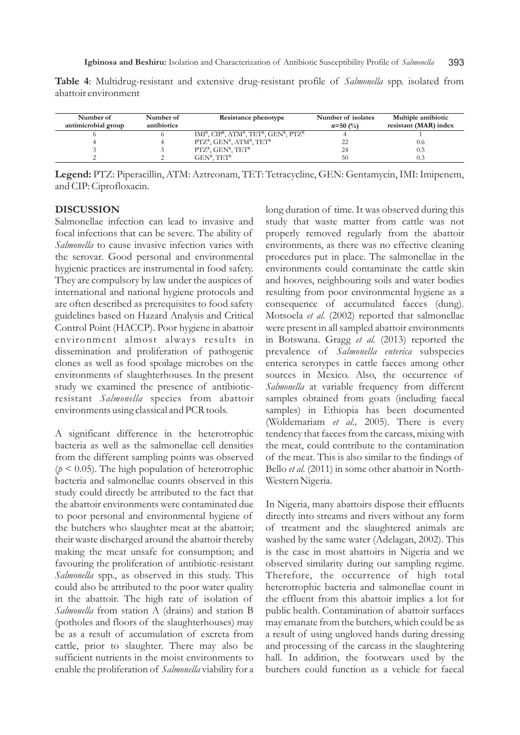**Table 4**: Multidrug-resistant and extensive drug-resistant profile of *Salmonella* spp. isolated from abattoir environment

| Number of<br>antimicrobial group | Number of<br>antibiotics | Resistance phenotype                                            | Number of isolates<br>$n=50$ (%) | Multiple antibiotic<br>resistant (MAR) index |
|----------------------------------|--------------------------|-----------------------------------------------------------------|----------------------------------|----------------------------------------------|
|                                  |                          | $IMR$ , $CIPR$ , $ATMR$ , $TETR$ , $GENR$ , $PTZR$              |                                  |                                              |
|                                  |                          | $PTZR$ , GEN <sup>R</sup> , ATM <sup>R</sup> , TET <sup>R</sup> |                                  | 0.6                                          |
|                                  |                          | $PTZR$ , GEN <sup>R</sup> , TET <sup>R</sup>                    |                                  | 0.E                                          |
|                                  |                          | $GEN^R$ . TET <sup>R</sup>                                      | 50                               |                                              |

**Legend:** PTZ: Piperacillin, ATM: Aztreonam, TET: Tetracycline, GEN: Gentamycin, IMI: Imipenem, and CIP: Ciprofloxacin.

## **DISCUSSION**

Salmonellae infection can lead to invasive and focal infections that can be severe. The ability of *Salmonella* to cause invasive infection varies with the serovar. Good personal and environmental hygienic practices are instrumental in food safety. They are compulsory by law under the auspices of international and national hygiene protocols and are often described as prerequisites to food safety guidelines based on Hazard Analysis and Critical Control Point (HACCP). Poor hygiene in abattoir environment almost always results in dissemination and proliferation of pathogenic clones as well as food spoilage microbes on the environments of slaughterhouses. In the present study we examined the presence of antibioticresistant *Salmonella* species from abattoir environments using classical and PCR tools.

A significant difference in the heterotrophic bacteria as well as the salmonellae cell densities from the different sampling points was observed  $(p < 0.05)$ . The high population of heterotrophic bacteria and salmonellae counts observed in this study could directly be attributed to the fact that the abattoir environments were contaminated due to poor personal and environmental hygiene of the butchers who slaughter meat at the abattoir; their waste discharged around the abattoir thereby making the meat unsafe for consumption; and favouring the proliferation of antibiotic-resistant *Salmonella* spp., as observed in this study. This could also be attributed to the poor water quality in the abattoir. The high rate of isolation of *Salmonella* from station A (drains) and station B (potholes and floors of the slaughterhouses) may be as a result of accumulation of excreta from cattle, prior to slaughter. There may also be sufficient nutrients in the moist environments to enable the proliferation of *Salmonella* viability for a long duration of time. It was observed during this study that waste matter from cattle was not properly removed regularly from the abattoir environments, as there was no effective cleaning procedures put in place. The salmonellae in the environments could contaminate the cattle skin and hooves, neighbouring soils and water bodies resulting from poor environmental hygiene as a consequence of accumulated faeces (dung). Motsoela *et al*. (2002) reported that salmonellae were present in all sampled abattoir environments in Botswana. Gragg *et al.* (2013) reported the prevalence of *Salmonella enterica* subspecies enterica serotypes in cattle faeces among other sources in Mexico. Also, the occurrence of *Salmonella* at variable frequency from different samples obtained from goats (including faecal samples) in Ethiopia has been documented (Woldemariam *et al.,* 2005). There is every tendency that faeces from the carcass, mixing with the meat, could contribute to the contamination of the meat. This is also similar to the findings of Bello *et al.* (2011) in some other abattoir in North-Western Nigeria.

In Nigeria, many abattoirs dispose their effluents directly into streams and rivers without any form of treatment and the slaughtered animals are washed by the same water (Adelagan, 2002). This is the case in most abattoirs in Nigeria and we observed similarity during our sampling regime. Therefore, the occurrence of high total heterotrophic bacteria and salmonellae count in the effluent from this abattoir implies a lot for public health. Contamination of abattoir surfaces may emanate from the butchers, which could be as a result of using ungloved hands during dressing and processing of the carcass in the slaughtering hall. In addition, the footwears used by the butchers could function as a vehicle for faecal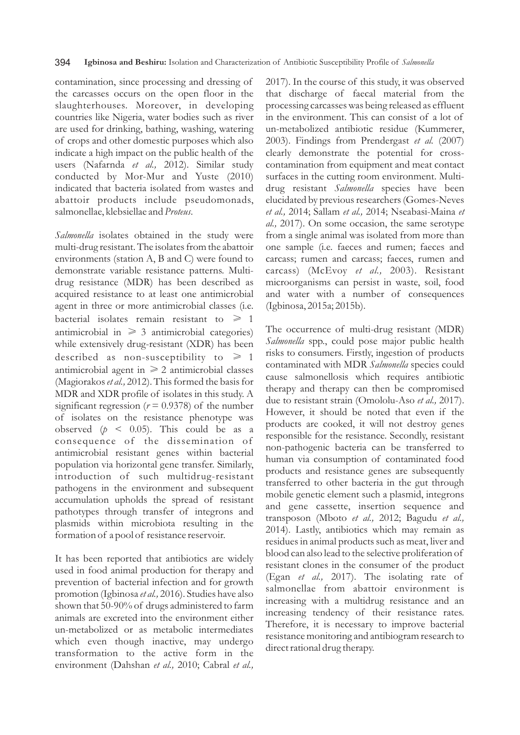contamination, since processing and dressing of the carcasses occurs on the open floor in the slaughterhouses. Moreover, in developing countries like Nigeria, water bodies such as river are used for drinking, bathing, washing, watering of crops and other domestic purposes which also indicate a high impact on the public health of the users (Nafarnda *et al.,* 2012). Similar study conducted by Mor-Mur and Yuste (2010) indicated that bacteria isolated from wastes and abattoir products include pseudomonads, salmonellae, klebsiellae and *Proteus*.

*Salmonella* isolates obtained in the study were multi-drug resistant. The isolates from the abattoir environments (station A, B and C) were found to demonstrate variable resistance patterns. Multidrug resistance (MDR) has been described as acquired resistance to at least one antimicrobial agent in three or more antimicrobial classes (i.e. bacterial isolates remain resistant to  $\geq 1$ antimicrobial in  $\geq 3$  antimicrobial categories) while extensively drug-resistant (XDR) has been described as non-susceptibility to  $\geq 1$ antimicrobial agent in  $\geq 2$  antimicrobial classes (Magiorakos *et al.,* 2012). This formed the basis for MDR and XDR profile of isolates in this study. A significant regression ( $r = 0.9378$ ) of the number of isolates on the resistance phenotype was observed  $(p \le 0.05)$ . This could be as a consequence of the dissemination of antimicrobial resistant genes within bacterial population via horizontal gene transfer. Similarly, introduction of such multidrug-resistant pathogens in the environment and subsequent accumulation upholds the spread of resistant pathotypes through transfer of integrons and plasmids within microbiota resulting in the formation of a pool of resistance reservoir.

It has been reported that antibiotics are widely used in food animal production for therapy and prevention of bacterial infection and for growth promotion (Igbinosa *et al.,* 2016). Studies have also shown that 50-90% of drugs administered to farm animals are excreted into the environment either un-metabolized or as metabolic intermediates which even though inactive, may undergo transformation to the active form in the environment (Dahshan *et al.,* 2010; Cabral *et al.,* 2017). In the course of this study, it was observed that discharge of faecal material from the processing carcasses was being released as effluent in the environment. This can consist of a lot of un-metabolized antibiotic residue (Kummerer, 2003). Findings from Prendergast *et al.* (2007) clearly demonstrate the potential for crosscontamination from equipment and meat contact surfaces in the cutting room environment. Multidrug resistant *Salmonella* species have been elucidated by previous researchers (Gomes-Neves *et al.,* 2014; Sallam *et al.,* 2014; Nseabasi-Maina *et al.,* 2017). On some occasion, the same serotype from a single animal was isolated from more than one sample (i.e. faeces and rumen; faeces and carcass; rumen and carcass; faeces, rumen and carcass) (McEvoy *et al.,* 2003). Resistant microorganisms can persist in waste, soil, food and water with a number of consequences (Igbinosa, 2015a; 2015b).

The occurrence of multi-drug resistant (MDR) *Salmonella* spp., could pose major public health risks to consumers. Firstly, ingestion of products contaminated with MDR *Salmonella* species could cause salmonellosis which requires antibiotic therapy and therapy can then be compromised due to resistant strain (Omololu-Aso *et al.,* 2017). However, it should be noted that even if the products are cooked, it will not destroy genes responsible for the resistance. Secondly, resistant non-pathogenic bacteria can be transferred to human via consumption of contaminated food products and resistance genes are subsequently transferred to other bacteria in the gut through mobile genetic element such a plasmid, integrons and gene cassette, insertion sequence and transposon (Mboto *et al.,* 2012; Bagudu *et al.,* 2014). Lastly, antibiotics which may remain as residues in animal products such as meat, liver and blood can also lead to the selective proliferation of resistant clones in the consumer of the product (Egan *et al.,* 2017). The isolating rate of salmonellae from abattoir environment is increasing with a multidrug resistance and an increasing tendency of their resistance rates. Therefore, it is necessary to improve bacterial resistance monitoring and antibiogram research to direct rational drug therapy.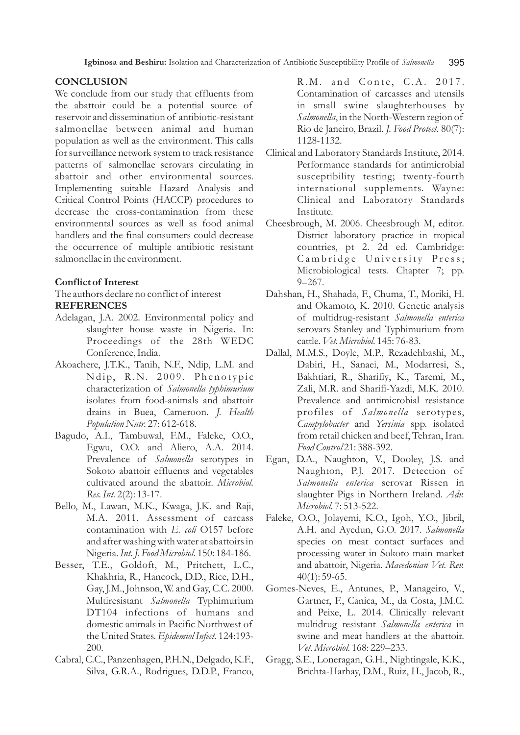# **CONCLUSION**

We conclude from our study that effluents from the abattoir could be a potential source of reservoir and dissemination of antibiotic-resistant salmonellae between animal and human population as well as the environment. This calls for surveillance network system to track resistance patterns of salmonellae serovars circulating in abattoir and other environmental sources. Implementing suitable Hazard Analysis and Critical Control Points (HACCP) procedures to decrease the cross-contamination from these environmental sources as well as food animal handlers and the final consumers could decrease the occurrence of multiple antibiotic resistant salmonellae in the environment.

## **Conflict of Interest**

## The authors declare no conflict of interest **REFERENCES**

- Adelagan, J.A. 2002. Environmental policy and slaughter house waste in Nigeria. In: Proceedings of the 28th WEDC Conference, India.
- Akoachere, J.T.K., Tanih, N.F., Ndip, L.M. and Ndip, R.N. 2009. Phenotypic characterization of *Salmonella typhimurium* isolates from food-animals and abattoir drains in Buea, Cameroon. *J. Health Population Nutr.* 27: 612-618.
- Bagudo, A.I., Tambuwal, F.M., Faleke, O.O., Egwu, O.O. and Aliero, A.A. 2014. Prevalence of *Salmonella* serotypes in Sokoto abattoir effluents and vegetables cultivated around the abattoir. *Microbiol. Res. Int.* 2(2): 13-17.
- Bello, M., Lawan, M.K., Kwaga, J.K. and Raji, M.A. 2011. Assessment of carcass contamination with *E. coli* O157 before and after washing with water at abattoirs in Nigeria. *Int. J. Food Microbiol.* 150: 184-186.
- Besser, T.E., Goldoft, M., Pritchett, L.C., Khakhria, R., Hancock, D.D., Rice, D.H., Gay, J.M., Johnson, W. and Gay, C.C. 2000. Multiresistant *Salmonella* Typhimurium DT104 infections of humans and domestic animals in Pacific Northwest of the United States. *Epidemiol Infect.* 124:193- 200.
- Cabral, C.C., Panzenhagen, P.H.N., Delgado, K.F., Silva, G.R.A., Rodrigues, D.D.P., Franco,

R.M. and Conte, C.A. 2017. Contamination of carcasses and utensils in small swine slaughterhouses by *Salmonella*, in the North-Western region of Rio de Janeiro, Brazil. *J. Food Protect.* 80(7): 1128-1132.

- Clinical and Laboratory Standards Institute, 2014. Performance standards for antimicrobial susceptibility testing; twenty-fourth international supplements. Wayne: Clinical and Laboratory Standards Institute.
- Cheesbrough, M. 2006. Cheesbrough M, editor. District laboratory practice in tropical countries, pt 2. 2d ed. Cambridge: Cambridge University Press; Microbiological tests. Chapter 7; pp. 9–267.
- Dahshan, H., Shahada, F., Chuma, T., Moriki, H. and Okamoto, K. 2010. Genetic analysis of multidrug-resistant *Salmonella enterica* serovars Stanley and Typhimurium from cattle. *Vet. Microbiol.* 145: 76-83.
- Dallal, M.M.S., Doyle, M.P., Rezadehbashi, M., Dabiri, H., Sanaei, M., Modarresi, S., Bakhtiari, R., Sharifiy, K., Taremi, M., Zali, M.R. and Sharifi-Yazdi, M.K. 2010. Prevalence and antimicrobial resistance profiles of *Salmonella* serotypes, *Campylobacter* and *Yersinia* spp. isolated from retail chicken and beef, Tehran, Iran. *Food Control* 21: 388-392.
- Egan, D.A., Naughton, V., Dooley, J.S. and Naughton, P.J. 2017. Detection of *Salmonella enterica* serovar Rissen in slaughter Pigs in Northern Ireland. *Adv. Microbiol.* 7: 513-522.
- Faleke, O.O., Jolayemi, K.O., Igoh, Y.O., Jibril, A.H. and Ayedun, G.O. 2017. *Salmonella* species on meat contact surfaces and processing water in Sokoto main market and abattoir, Nigeria. *Macedonian Vet. Rev.* 40(1): 59-65.
- Gomes-Neves, E., Antunes, P., Manageiro, V., Gartner, F., Canica, M., da Costa, J.M.C. and Peixe, L. 2014. Clinically relevant multidrug resistant *Salmonella enterica* in swine and meat handlers at the abattoir. *Vet. Microbiol.* 168: 229–233.
- Gragg, S.E., Loneragan, G.H., Nightingale, K.K., Brichta-Harhay, D.M., Ruiz, H., Jacob, R.,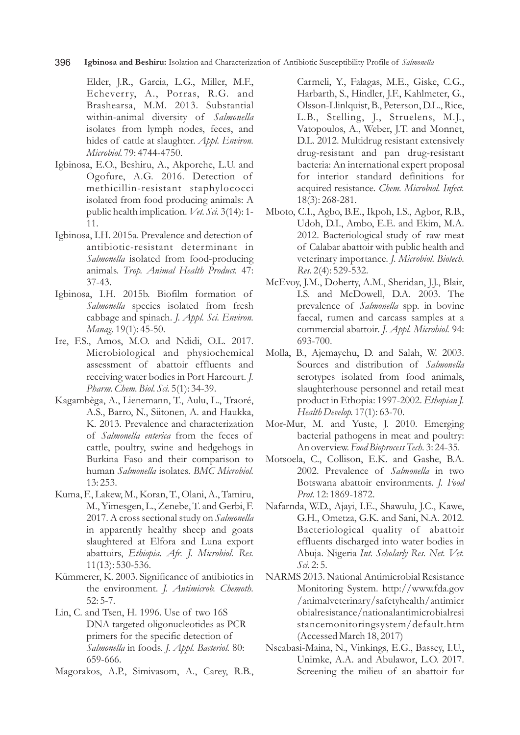396 **Igbinosa and Beshiru:** Isolation and Characterization of Antibiotic Susceptibility Profile of *Salmonella*

Elder, J.R., Garcia, L.G., Miller, M.F., Echeverry, A., Porras, R.G. and Brashearsa, M.M. 2013. Substantial within-animal diversity of *Salmonella* isolates from lymph nodes, feces, and hides of cattle at slaughter. *Appl. Environ. Microbiol.* 79: 4744-4750.

- Igbinosa, E.O., Beshiru, A., Akporehe, L.U. and Ogofure, A.G. 2016. Detection of methicillin-resistant staphylococci isolated from food producing animals: A public health implication. *Vet. Sci.* 3(14): 1- 11.
- Igbinosa, I.H. 2015a. Prevalence and detection of antibiotic-resistant determinant in *Salmonella* isolated from food-producing animals. *Trop. Animal Health Product.* 47: 37-43.
- Igbinosa, I.H. 2015b. Biofilm formation of *Salmonella* species isolated from fresh cabbage and spinach. *J. Appl. Sci. Environ. Manag.* 19(1): 45-50.
- Ire, F.S., Amos, M.O. and Ndidi, O.L. 2017. Microbiological and physiochemical assessment of abattoir effluents and receiving water bodies in Port Harcourt. *J. Pharm. Chem. Biol. Sci.* 5(1): 34-39.
- Kagambèga, A., Lienemann, T., Aulu, L., Traoré, A.S., Barro, N., Siitonen, A. and Haukka, K. 2013. Prevalence and characterization of *Salmonella enterica* from the feces of cattle, poultry, swine and hedgehogs in Burkina Faso and their comparison to human *Salmonella* isolates. *BMC Microbiol.* 13: 253.
- Kuma, F., Lakew, M., Koran, T., Olani, A., Tamiru, M., Yimesgen, L., Zenebe, T. and Gerbi, F. 2017. A cross sectional study on *Salmonella* in apparently healthy sheep and goats slaughtered at Elfora and Luna export abattoirs, *Ethiopia. Afr. J. Microbiol. Res.* 11(13): 530-536.
- Kümmerer, K. 2003. Significance of antibiotics in the environment. *J. Antimicrob. Chemoth.*  52: 5-7.
- Lin, C. and Tsen, H. 1996. Use of two 16S DNA targeted oligonucleotides as PCR primers for the specific detection of *Salmonella* in foods. *J. Appl. Bacteriol.* 80: 659-666.
- Magorakos, A.P., Simivasom, A., Carey, R.B.,

Carmeli, Y., Falagas, M.E., Giske, C.G., Harbarth, S., Hindler, J.F., Kahlmeter, G., Olsson-Llinlquist, B., Peterson, D.L., Rice, L.B., Stelling, J., Struelens, M.J., Vatopoulos, A., Weber, J.T. and Monnet, D.L. 2012. Multidrug resistant extensively drug-resistant and pan drug-resistant bacteria: An international expert proposal for interior standard definitions for acquired resistance. *Chem. Microbiol. Infect.*  18(3): 268-281.

- Mboto, C.I., Agbo, B.E., Ikpoh, I.S., Agbor, R.B., Udoh, D.I., Ambo, E.E. and Ekim, M.A. 2012. Bacteriological study of raw meat of Calabar abattoir with public health and veterinary importance. *J. Microbiol. Biotech. Res.* 2(4): 529-532.
- McEvoy, J.M., Doherty, A.M., Sheridan, J.J., Blair, I.S. and McDowell, D.A. 2003. The prevalence of *Salmonella* spp. in bovine faecal, rumen and carcass samples at a commercial abattoir. *J. Appl. Microbiol.* 94: 693-700.
- Molla, B., Ajemayehu, D. and Salah, W. 2003. Sources and distribution of *Salmonella* serotypes isolated from food animals, slaughterhouse personnel and retail meat product in Ethopia: 1997-2002. *Ethopian J. Health Develop.* 17(1): 63-70.
- Mor-Mur, M. and Yuste, J. 2010. Emerging bacterial pathogens in meat and poultry: An overview. *Food Bioprocess Tech.* 3: 24-35.
- Motsoela, C., Collison, E.K. and Gashe, B.A. 2002. Prevalence of *Salmonella* in two Botswana abattoir environments. *J. Food Prot.* 12: 1869-1872.
- Nafarnda, W.D., Ajayi, I.E., Shawulu, J.C., Kawe, G.H., Ometza, G.K. and Sani, N.A. 2012. Bacteriological quality of abattoir effluents discharged into water bodies in Abuja. Nigeria *Int. Scholarly Res. Net. Vet. Sci.* 2: 5.
- NARMS 2013. National Antimicrobial Resistance Monitoring System. http://www.fda.gov /animalveterinary/safetyhealth/antimicr obialresistance/nationalantimicrobialresi stancemonitoringsystem/default.htm (Accessed March 18, 2017)
- Nseabasi-Maina, N., Vinkings, E.G., Bassey, I.U., Unimke, A.A. and Abulawor, L.O. 2017. Screening the milieu of an abattoir for